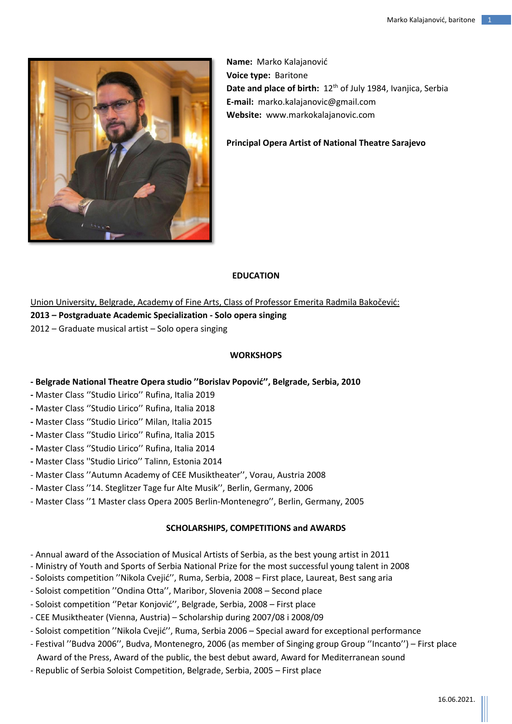

**Name:** Marko Kalajanović **Voice type:** Baritone **Date and place of birth:** 12<sup>th</sup> of July 1984, Ivanjica, Serbia **E-mail:** [marko.kalajanovic@gmail.com](mailto:marko.kalajanovic@gmail.com) **Website:** [www.markokalajanovic.com](http://www.markokalajanovic.com/)

**Principal Opera Artist of National Theatre Sarajevo**

# **EDUCATION**

Union University, Belgrade, Academy of Fine Arts, Class of Professor Emerita Radmila Bakočević: **2013 – Postgraduate Academic Specialization - Solo opera singing** 2012 – Graduate musical artist – Solo opera singing

### **WORKSHOPS**

- **- Belgrade National Theatre Opera studio ''Borislav Popović'', Belgrade, Serbia, 2010**
- **-** Master Class ''Studio Lirico'' Rufina, Italia 2019
- **-** Master Class ''Studio Lirico'' Rufina, Italia 2018
- **-** Master Class ''Studio Lirico'' Milan, Italia 2015
- **-** Master Class ''Studio Lirico'' Rufina, Italia 2015
- **-** Master Class ''Studio Lirico'' Rufina, Italia 2014
- **-** Master Class ''Studio Lirico'' Talinn, Estonia 2014
- Master Class ''Autumn Academy of CEE Musiktheater'', Vorau, Austria 2008
- Master Class ''14. Steglitzer Tage fur Alte Musik'', Berlin, Germany, 2006
- Master Class ''1 Master class Opera 2005 Berlin-Montenegro'', Berlin, Germany, 2005

### **SCHOLARSHIPS, COMPETITIONS and AWARDS**

- Annual award of the Association of Musical Artists of Serbia, as the best young artist in 2011
- Ministry of Youth and Sports of Serbia National Prize for the most successful young talent in 2008
- Soloists competition ''Nikola Cvejić'', Ruma, Serbia, 2008 First place, Laureat, Best sang aria
- Soloist competition ''Ondina Otta'', Maribor, Slovenia 2008 Second place
- Soloist competition ''Petar Konjović'', Belgrade, Serbia, 2008 First place
- CEE Musiktheater (Vienna, Austria) Scholarship during 2007/08 i 2008/09
- Soloist competition ''Nikola Cvejić'', Ruma, Serbia 2006 Special award for exceptional performance
- Festival ''Budva 2006'', Budva, Montenegro, 2006 (as member of Singing group Group ''Incanto'') First place Award of the Press, Award of the public, the best debut award, Award for Mediterranean sound
- Republic of Serbia Soloist Competition, Belgrade, Serbia, 2005 First place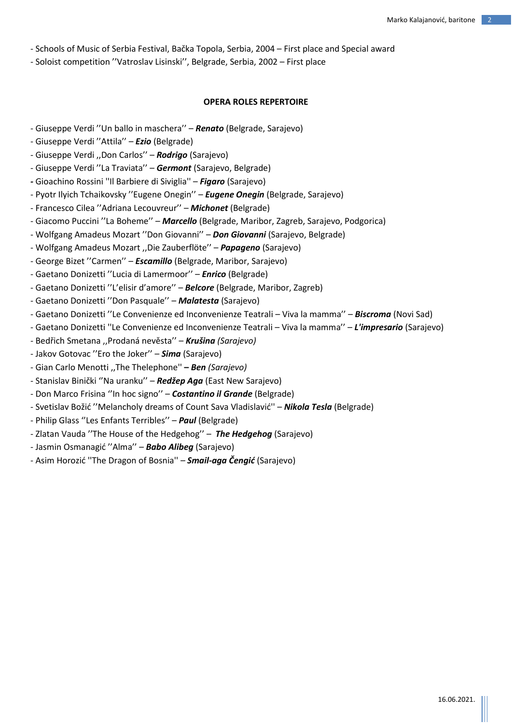- Schools of Music of Serbia Festival, Bačka Topola, Serbia, 2004 First place and Special award
- Soloist competition ''Vatroslav Lisinski'', Belgrade, Serbia, 2002 First place

### **OPERA ROLES REPERTOIRE**

- Giuseppe Verdi ''Un ballo in maschera'' *Renato* (Belgrade, Sarajevo)
- Giuseppe Verdi ''Attila'' *Ezio* (Belgrade)
- Giuseppe Verdi ,,Don Carlos'' *Rodrigo* (Sarajevo)
- Giuseppe Verdi ''La Traviata'' *Germont* (Sarajevo, Belgrade)
- *-* Gioachino Rossini ''Il Barbiere di Siviglia'' *Figaro* (Sarajevo)
- Pyotr Ilyich Tchaikovsky ''Eugene Onegin'' *Eugene Onegin* (Belgrade, Sarajevo)
- Francesco Cilea ''Adriana Lecouvreur'' *Michonet* (Belgrade)
- Giacomo Puccini ''La Boheme'' *Marcello* (Belgrade, Maribor, Zagreb, Sarajevo, Podgorica)
- Wolfgang Amadeus Mozart ''Don Giovanni'' *Don Giovanni* (Sarajevo, Belgrade)
- Wolfgang Amadeus Mozart ,,Die Zauberflöte'' *Papageno* (Sarajevo)
- George Bizet ''Carmen'' *Escamillo* (Belgrade, Maribor, Sarajevo)
- Gaetano Donizetti ''Lucia di Lamermoor'' *Enrico* (Belgrade)
- Gaetano Donizetti ''L'elisir d'amore'' *Belcore* (Belgrade, Maribor, Zagreb)
- Gaetano Donizetti ''Don Pasquale'' *Malatesta* (Sarajevo)
- Gaetano Donizetti ''Le Convenienze ed Inconvenienze Teatrali Viva la mamma'' *Biscroma* (Novi Sad)
- Gaetano Donizetti ''Le Convenienze ed Inconvenienze Teatrali Viva la mamma'' *L'impresario* (Sarajevo)
- *-* Bedřich Smetana ,,Prodaná nevěsta'' *Krušina (Sarajevo)*
- Jakov Gotovac ''Ero the Joker'' *Sima* (Sarajevo)
- Gian Carlo Menotti ,,The Thelephone'' **–** *Ben (Sarajevo)*
- Stanislav Binički ''Na uranku'' *Redžep Aga* (East New Sarajevo)
- Don Marco Frisina ''In hoc signo'' *Costantino il Grande* (Belgrade)
- Svetislav Božić ''Melancholy dreams of Count Sava Vladislavić'' *Nikola Tesla* (Belgrade)
- Philip Glass ''Les Enfants Terribles'' *Paul* (Belgrade)
- Zlatan Vauda ''The House of the Hedgehog'' *The Hedgehog* (Sarajevo)
- Jasmin Osmanagić ''Alma'' *Babo Alibeg* (Sarajevo)
- Asim Horozić ''The Dragon of Bosnia'' *– Smail-aga Čengić* (Sarajevo)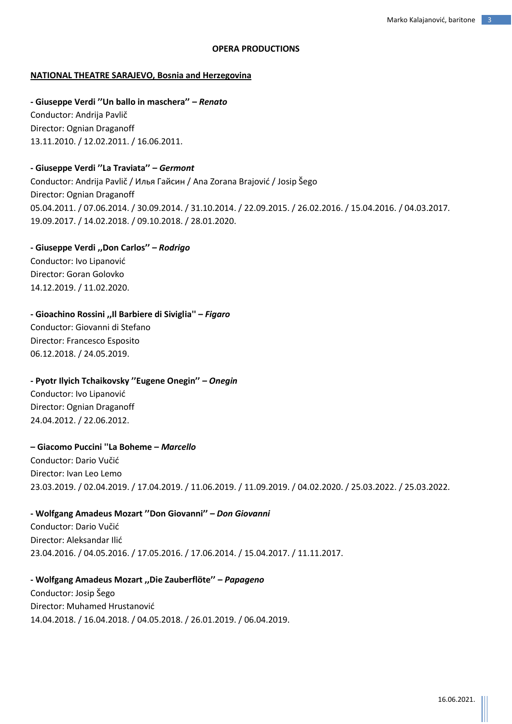### **OPERA PRODUCTIONS**

### **NATIONAL THEATRE SARAJEVO, Bosnia and Herzegovina**

**- Giuseppe Verdi ''Un ballo in maschera'' –** *Renato* Conductor: Andrija Pavlič Director: Ognian Draganoff 13.11.2010. / 12.02.2011. / 16.06.2011.

### **- Giuseppe Verdi ''La Traviata'' –** *Germont*

Conductor: Andrija Pavlič / Илья Гайсин / Ana Zorana Brajović / Josip Šego Director: Ognian Draganoff 05.04.2011. / 07.06.2014. / 30.09.2014. / 31.10.2014. / 22.09.2015. / 26.02.2016. / 15.04.2016. / 04.03.2017. 19.09.2017. / 14.02.2018. / 09.10.2018. / 28.01.2020.

### **- Giuseppe Verdi ,,Don Carlos'' –** *Rodrigo*

Conductor: Ivo Lipanović Director: Goran Golovko 14.12.2019. / 11.02.2020.

#### **- Gioachino Rossini ,,Il Barbiere di Siviglia'' –** *Figaro*

Conductor: Giovanni di Stefano Director: Francesco Esposito 06.12.2018. / 24.05.2019.

### **- Pyotr Ilyich Tchaikovsky ''Eugene Onegin'' –** *Onegin*

Conductor: Ivo Lipanović Director: Ognian Draganoff 24.04.2012. / 22.06.2012.

### **– Giacomo Puccini ''La Boheme –** *Marcello*

Conductor: Dario Vučić Director: Ivan Leo Lemo 23.03.2019. / 02.04.2019. / 17.04.2019. / 11.06.2019. / 11.09.2019. / 04.02.2020. / 25.03.2022. / 25.03.2022.

### **- Wolfgang Amadeus Mozart ''Don Giovanni'' –** *Don Giovanni*

Conductor: Dario Vučić Director: Aleksandar Ilić 23.04.2016. / 04.05.2016. / 17.05.2016. / 17.06.2014. / 15.04.2017. / 11.11.2017.

# **- Wolfgang Amadeus Mozart ,,Die Zauberflöte'' –** *Papageno* Conductor: Josip Šego Director: Muhamed Hrustanović

14.04.2018. / 16.04.2018. / 04.05.2018. / 26.01.2019. / 06.04.2019.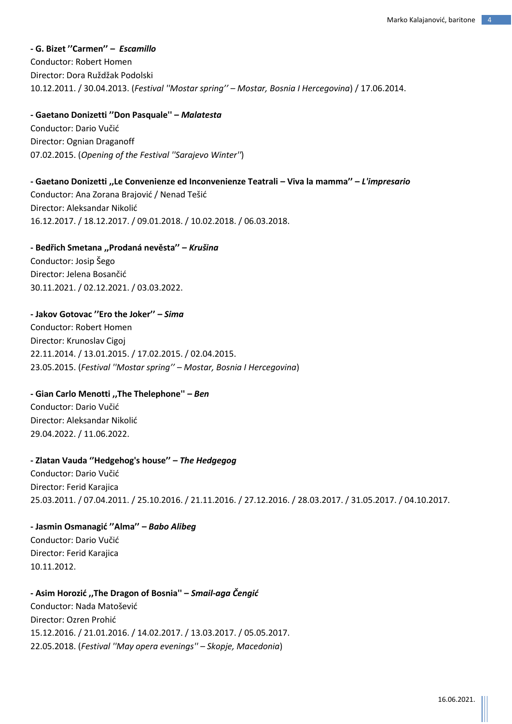**- G. Bizet ''Carmen'' –** *Escamillo* Conductor: Robert Homen Director: Dora Ruždžak Podolski 10.12.2011. / 30.04.2013. (*Festival ''Mostar spring'' – Mostar, Bosnia I Hercegovina*) / 17.06.2014.

**- Gaetano Donizetti ''Don Pasquale'' –** *Malatesta* Conductor: Dario Vučić Director: Ognian Draganoff 07.02.2015. (*Opening of the Festival ''Sarajevo Winter''*)

**- Gaetano Donizetti ,,Le Convenienze ed Inconvenienze Teatrali – Viva la mamma'' –** *L'impresario* Conductor: Ana Zorana Brajović / Nenad Tešić Director: Aleksandar Nikolić 16.12.2017. / 18.12.2017. / 09.01.2018. / 10.02.2018. / 06.03.2018.

# **- Bedřich Smetana ,,Prodaná nevěsta'' –** *Krušina*

Conductor: Josip Šego Director: Jelena Bosančić 30.11.2021. / 02.12.2021. / 03.03.2022.

# **- Jakov Gotovac ''Ero the Joker'' –** *Sima*

Conductor: Robert Homen Director: Krunoslav Cigoj 22.11.2014. / 13.01.2015. / 17.02.2015. / 02.04.2015. 23.05.2015. (*Festival ''Mostar spring'' – Mostar, Bosnia I Hercegovina*)

### **- Gian Carlo Menotti ,,The Thelephone'' –** *Ben*

Conductor: Dario Vučić Director: Aleksandar Nikolić 29.04.2022. / 11.06.2022.

### **- Zlatan Vauda ''Hedgehog's house'' –** *The Hedgegog*

Conductor: Dario Vučić Director: Ferid Karajica 25.03.2011. / 07.04.2011. / 25.10.2016. / 21.11.2016. / 27.12.2016. / 28.03.2017. / 31.05.2017. / 04.10.2017.

**- Jasmin Osmanagić ''Alma'' –** *Babo Alibeg* Conductor: Dario Vučić Director: Ferid Karajica 10.11.2012.

**- Asim Horozić ,,The Dragon of Bosnia'' –** *Smail-aga Čengić* Conductor: Nada Matošević Director: Ozren Prohić 15.12.2016. / 21.01.2016. / 14.02.2017. / 13.03.2017. / 05.05.2017. 22.05.2018. (*Festival ''May opera evenings'' – Skopje, Macedonia*)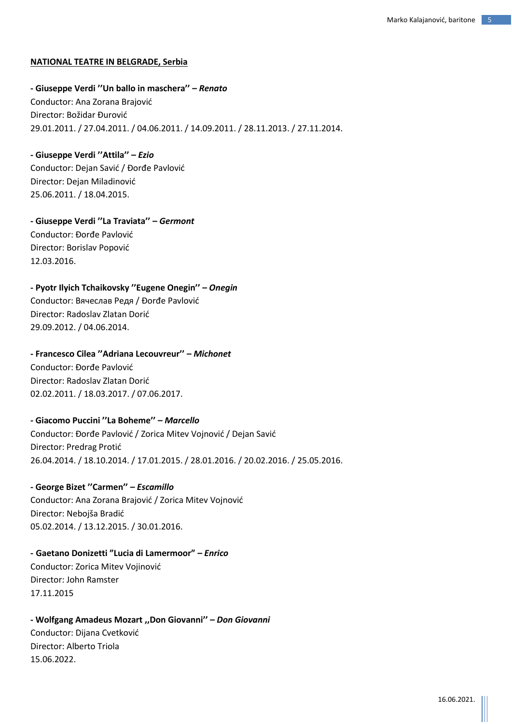### **NATIONAL TEATRE IN BELGRADE, Serbia**

**- Giuseppe Verdi ''Un ballo in maschera'' –** *Renato* Conductor: Ana Zorana Brajović Director: Božidar Đurović 29.01.2011. / 27.04.2011. / 04.06.2011. / 14.09.2011. / 28.11.2013. / 27.11.2014.

**- Giuseppe Verdi ''Attila'' –** *Ezio* Conductor: Dejan Savić / Đorđe Pavlović Director: Dejan Miladinović 25.06.2011. / 18.04.2015.

**- Giuseppe Verdi ''La Traviata'' –** *Germont* Conductor: Đorđe Pavlović Director: Borislav Popović 12.03.2016.

**- Pyotr Ilyich Tchaikovsky ''Eugene Onegin'' –** *Onegin* Conductor: Вячеслав Редя / Đorđe Pavlović Director: Radoslav Zlatan Dorić 29.09.2012. / 04.06.2014.

**- Francesco Cilea ''Adriana Lecouvreur'' –** *Michonet* Conductor: Đorđe Pavlović Director: Radoslav Zlatan Dorić 02.02.2011. / 18.03.2017. / 07.06.2017.

**- Giacomo Puccini ''La Boheme'' –** *Marcello* Conductor: Đorđe Pavlović / Zorica Mitev Vojnović / Dejan Savić Director: Predrag Protić 26.04.2014. / 18.10.2014. / 17.01.2015. / 28.01.2016. / 20.02.2016. / 25.05.2016.

**- George Bizet ''Carmen'' –** *Escamillo* Conductor: Ana Zorana Brajović / Zorica Mitev Vojnović Director: Nebojša Bradić 05.02.2014. / 13.12.2015. / 30.01.2016.

**- Gaetano Donizetti "Lucia di Lamermoor" –** *Enrico* Conductor: Zorica Mitev Vojinović Director: John Ramster 17.11.2015

**- Wolfgang Amadeus Mozart ,,Don Giovanni'' –** *Don Giovanni* Conductor: Dijana Cvetković Director: Alberto Triola 15.06.2022.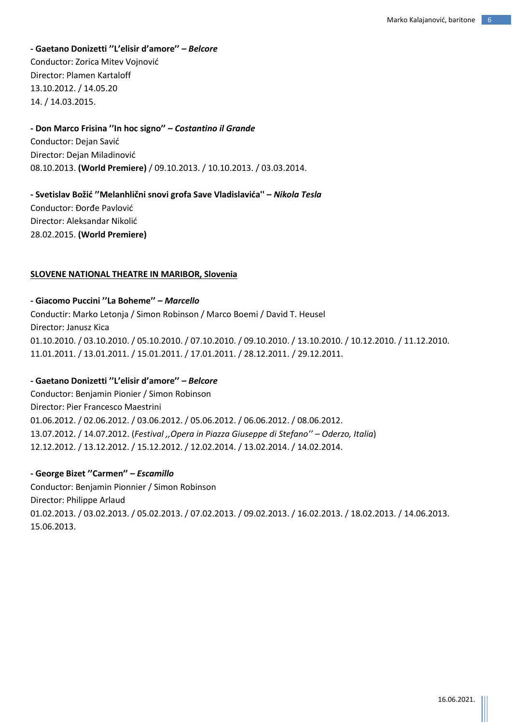# **- Gaetano Donizetti ''L'elisir d'amore'' –** *Belcore* Conductor: Zorica Mitev Vojnović Director: Plamen Kartaloff 13.10.2012. / 14.05.20 14. / 14.03.2015.

### **- Don Marco Frisina ''In hoc signo'' –** *Costantino il Grande*

Conductor: Dejan Savić Director: Dejan Miladinović 08.10.2013. **(World Premiere)** / 09.10.2013. / 10.10.2013. / 03.03.2014.

**- Svetislav Božić ''Melanhlični snovi grofa Save Vladislavića'' –** *Nikola Tesla* Conductor: Đorđe Pavlović Director: Aleksandar Nikolić 28.02.2015. **(World Premiere)**

### **SLOVENE NATIONAL THEATRE IN MARIBOR, Slovenia**

### **- Giacomo Puccini ''La Boheme'' –** *Marcello*

Conductir: Marko Letonja / Simon Robinson / Marco Boemi / David T. Heusel Director: Janusz Kica 01.10.2010. / 03.10.2010. / 05.10.2010. / 07.10.2010. / 09.10.2010. / 13.10.2010. / 10.12.2010. / 11.12.2010. 11.01.2011. / 13.01.2011. / 15.01.2011. / 17.01.2011. / 28.12.2011. / 29.12.2011.

### **- Gaetano Donizetti ''L'elisir d'amore'' –** *Belcore*

Conductor: Benjamin Pionier / Simon Robinson Director: Pier Francesco Maestrini 01.06.2012. / 02.06.2012. / 03.06.2012. / 05.06.2012. / 06.06.2012. / 08.06.2012. 13.07.2012. / 14.07.2012. (*Festival ,,Opera in Piazza Giuseppe di Stefano'' – Oderzo, Italia*) 12.12.2012. / 13.12.2012. / 15.12.2012. / 12.02.2014. / 13.02.2014. / 14.02.2014.

### **- George Bizet ''Carmen'' –** *Escamillo*

Conductor: Benjamin Pionnier / Simon Robinson Director: Philippe Arlaud 01.02.2013. / 03.02.2013. / 05.02.2013. / 07.02.2013. / 09.02.2013. / 16.02.2013. / 18.02.2013. / 14.06.2013. 15.06.2013.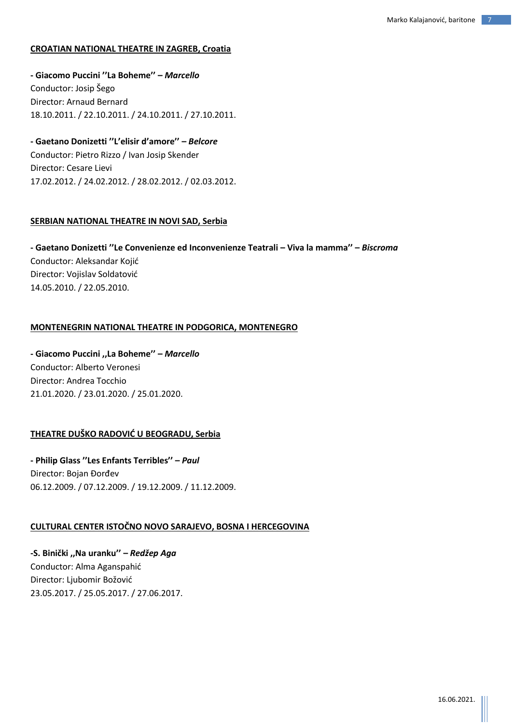# **CROATIAN NATIONAL THEATRE IN ZAGREB, Croatia**

**- Giacomo Puccini ''La Boheme'' –** *Marcello* Conductor: Josip Šego Director: Arnaud Bernard 18.10.2011. / 22.10.2011. / 24.10.2011. / 27.10.2011.

**- Gaetano Donizetti ''L'elisir d'amore'' –** *Belcore* Conductor: Pietro Rizzo / Ivan Josip Skender Director: Cesare Lievi 17.02.2012. / 24.02.2012. / 28.02.2012. / 02.03.2012.

### **SERBIAN NATIONAL THEATRE IN NOVI SAD, Serbia**

**- Gaetano Donizetti ''Le Convenienze ed Inconvenienze Teatrali – Viva la mamma'' –** *Biscroma* Conductor: Aleksandar Kojić Director: Vojislav Soldatović 14.05.2010. / 22.05.2010.

### **MONTENEGRIN NATIONAL THEATRE IN PODGORICA, MONTENEGRO**

**- Giacomo Puccini ,,La Boheme'' –** *Marcello* Conductor: Alberto Veronesi Director: Andrea Tocchio 21.01.2020. / 23.01.2020. / 25.01.2020.

### **THEATRE DUŠKO RADOVIĆ U BEOGRADU, Serbia**

**- Philip Glass ''Les Enfants Terribles'' –** *Paul* Director: Bojan Đorđev 06.12.2009. / 07.12.2009. / 19.12.2009. / 11.12.2009.

# **CULTURAL CENTER ISTOČNO NOVO SARAJEVO, BOSNA I HERCEGOVINA**

**-S. Binički ,,Na uranku'' –** *Redžep Aga* Conductor: Alma Aganspahić Director: Ljubomir Božović 23.05.2017. / 25.05.2017. / 27.06.2017.